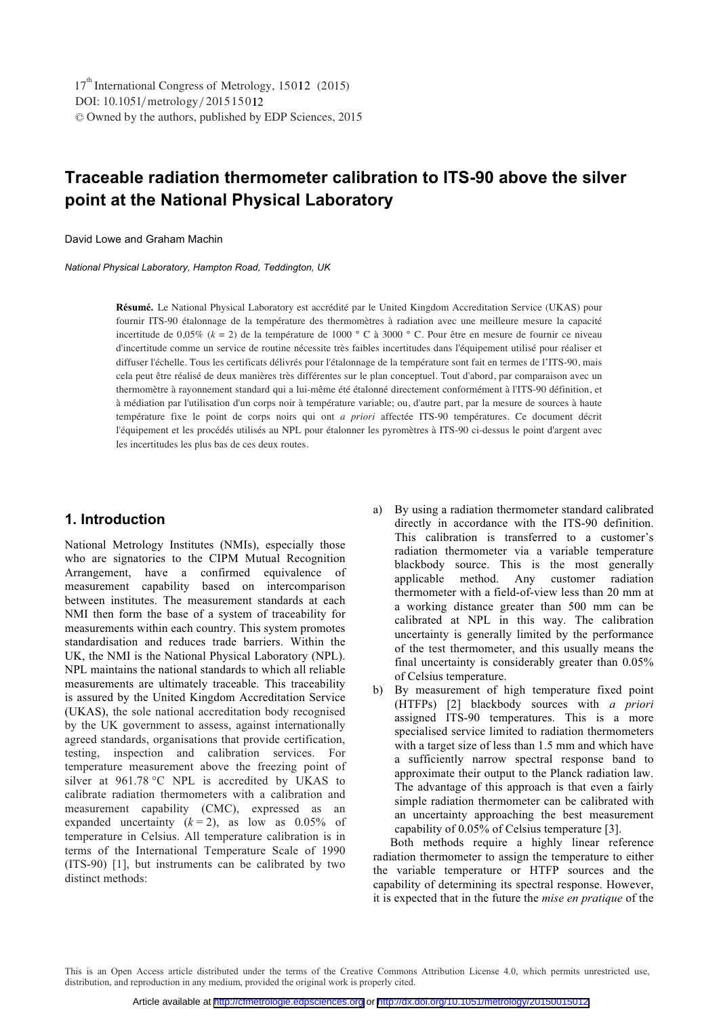DOI: 10.1051/metrology/201515012 -<sup>C</sup> Owned by the authors, published by EDP Sciences, 2015 17<sup>th</sup> International Congress of Metrology, 15012 (2015)

# **Traceable radiation thermometer calibration to ITS-90 above the silver point at the National Physical Laboratory**

David Lowe and Graham Machin

*National Physical Laboratory, Hampton Road, Teddington, UK* 

Résumé. Le National Physical Laboratory est accrédité par le United Kingdom Accreditation Service (UKAS) pour fournir ITS-90 étalonnage de la température des thermomètres à radiation avec une meilleure mesure la capacité incertitude de 0,05% (*k* = 2) de la température de 1000 ° C à 3000 ° C. Pour être en mesure de fournir ce niveau d'incertitude comme un service de routine nécessite très faibles incertitudes dans l'équipement utilisé pour réaliser et diffuser l'échelle. Tous les certificats délivrés pour l'étalonnage de la température sont fait en termes de l'ITS-90, mais cela peut être réalisé de deux manières très différentes sur le plan conceptuel. Tout d'abord, par comparaison avec un thermomètre à rayonnement standard qui a lui-même été étalonné directement conformément à l'ITS-90 définition, et à médiation par l'utilisation d'un corps noir à température variable; ou, d'autre part, par la mesure de sources à haute température fixe le point de corps noirs qui ont *a priori* affectée ITS-90 températures. Ce document décrit l'équipement et les procédés utilisés au NPL pour étalonner les pyromètres à ITS-90 ci-dessus le point d'argent avec les incertitudes les plus bas de ces deux routes.

## **1. Introduction**

National Metrology Institutes (NMIs), especially those who are signatories to the CIPM Mutual Recognition Arrangement, have a confirmed equivalence of measurement capability based on intercomparison between institutes. The measurement standards at each NMI then form the base of a system of traceability for measurements within each country. This system promotes standardisation and reduces trade barriers. Within the UK, the NMI is the National Physical Laboratory (NPL). NPL maintains the national standards to which all reliable measurements are ultimately traceable. This traceability is assured by the United Kingdom Accreditation Service (UKAS), the sole national accreditation body recognised by the UK government to assess, against internationally agreed standards, organisations that provide certification, testing, inspection and calibration services. For temperature measurement above the freezing point of silver at 961.78 °C NPL is accredited by UKAS to calibrate radiation thermometers with a calibration and measurement capability (CMC), expressed as an expanded uncertainty  $(k = 2)$ , as low as 0.05% of temperature in Celsius. All temperature calibration is in terms of the International Temperature Scale of 1990 (ITS-90) [1], but instruments can be calibrated by two distinct methods:

- a) By using a radiation thermometer standard calibrated directly in accordance with the ITS-90 definition. This calibration is transferred to a customer's radiation thermometer via a variable temperature blackbody source. This is the most generally applicable method. Any customer radiation thermometer with a field-of-view less than 20 mm at a working distance greater than 500 mm can be calibrated at NPL in this way. The calibration uncertainty is generally limited by the performance of the test thermometer, and this usually means the final uncertainty is considerably greater than 0.05% of Celsius temperature.
- b) By measurement of high temperature fixed point (HTFPs) [2] blackbody sources with *a priori* assigned ITS-90 temperatures. This is a more specialised service limited to radiation thermometers with a target size of less than 1.5 mm and which have a sufficiently narrow spectral response band to approximate their output to the Planck radiation law. The advantage of this approach is that even a fairly simple radiation thermometer can be calibrated with an uncertainty approaching the best measurement capability of 0.05% of Celsius temperature [3].

Both methods require a highly linear reference radiation thermometer to assign the temperature to either the variable temperature or HTFP sources and the capability of determining its spectral response. However, it is expected that in the future the *mise en pratique* of the

This is an Open Access article distributed under the terms of the Creative Commons Attribution License 4.0, which permits unrestricted use, distribution, and reproduction in any medium, provided the original work is properly cited.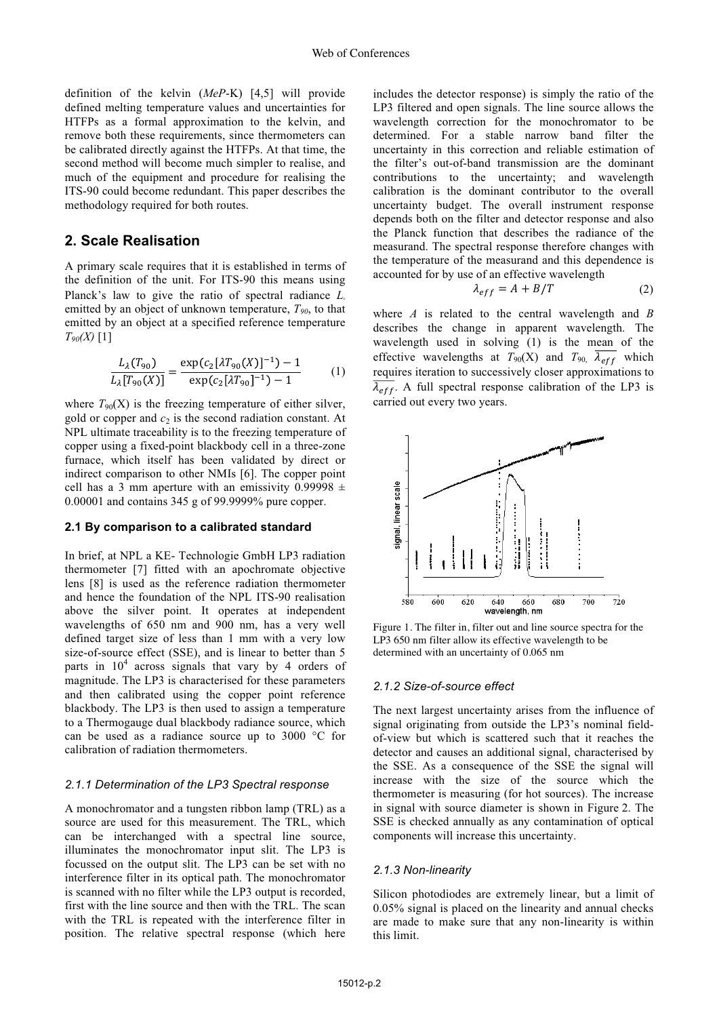definition of the kelvin (*MeP*-K) [4,5] will provide defined melting temperature values and uncertainties for HTFPs as a formal approximation to the kelvin, and remove both these requirements, since thermometers can be calibrated directly against the HTFPs. At that time, the second method will become much simpler to realise, and much of the equipment and procedure for realising the ITS-90 could become redundant. This paper describes the methodology required for both routes.

## **2. Scale Realisation**

A primary scale requires that it is established in terms of the definition of the unit. For ITS-90 this means using Planck's law to give the ratio of spectral radiance *L*<sup>λ</sup> emitted by an object of unknown temperature,  $T_{90}$ , to that emitted by an object at a specified reference temperature *T90(X)* [1]

$$
\frac{L_{\lambda}(T_{90})}{L_{\lambda}[T_{90}(X)]} = \frac{\exp(c_2[\lambda T_{90}(X)]^{-1}) - 1}{\exp(c_2[\lambda T_{90}]^{-1}) - 1} \tag{1}
$$

where  $T_{90}(X)$  is the freezing temperature of either silver, gold or copper and  $c_2$  is the second radiation constant. At NPL ultimate traceability is to the freezing temperature of copper using a fixed-point blackbody cell in a three-zone furnace, which itself has been validated by direct or indirect comparison to other NMIs [6]. The copper point cell has a 3 mm aperture with an emissivity 0.99998  $\pm$ 0.00001 and contains 345 g of 99.9999% pure copper.

#### **2.1 By comparison to a calibrated standard**

In brief, at NPL a KE- Technologie GmbH LP3 radiation thermometer [7] fitted with an apochromate objective lens [8] is used as the reference radiation thermometer and hence the foundation of the NPL ITS-90 realisation above the silver point. It operates at independent wavelengths of 650 nm and 900 nm, has a very well defined target size of less than 1 mm with a very low size-of-source effect (SSE), and is linear to better than 5 parts in  $10^4$  across signals that vary by 4 orders of magnitude. The LP3 is characterised for these parameters and then calibrated using the copper point reference blackbody. The LP3 is then used to assign a temperature to a Thermogauge dual blackbody radiance source, which can be used as a radiance source up to 3000 °C for calibration of radiation thermometers.

### *2.1.1 Determination of the LP3 Spectral response*

A monochromator and a tungsten ribbon lamp (TRL) as a source are used for this measurement. The TRL, which can be interchanged with a spectral line source, illuminates the monochromator input slit. The LP3 is focussed on the output slit. The LP3 can be set with no interference filter in its optical path. The monochromator is scanned with no filter while the LP3 output is recorded, first with the line source and then with the TRL. The scan with the TRL is repeated with the interference filter in position. The relative spectral response (which here

includes the detector response) is simply the ratio of the LP3 filtered and open signals. The line source allows the wavelength correction for the monochromator to be determined. For a stable narrow band filter the uncertainty in this correction and reliable estimation of the filter's out-of-band transmission are the dominant contributions to the uncertainty; and wavelength calibration is the dominant contributor to the overall uncertainty budget. The overall instrument response depends both on the filter and detector response and also the Planck function that describes the radiance of the measurand. The spectral response therefore changes with the temperature of the measurand and this dependence is accounted for by use of an effective wavelength

$$
\lambda_{eff} = A + B/T \tag{2}
$$

where *A* is related to the central wavelength and *B* describes the change in apparent wavelength. The wavelength used in solving (1) is the mean of the effective wavelengths at  $T_{90}$ (X) and  $T_{90}$ ,  $\overline{\lambda_{eff}}$  which requires iteration to successively closer approximations to  $\overline{\lambda_{eff}}$ . A full spectral response calibration of the LP3 is carried out every two years.



Figure 1. The filter in, filter out and line source spectra for the LP3 650 nm filter allow its effective wavelength to be determined with an uncertainty of 0.065 nm

#### *2.1.2 Size-of-source effect*

The next largest uncertainty arises from the influence of signal originating from outside the LP3's nominal fieldof-view but which is scattered such that it reaches the detector and causes an additional signal, characterised by the SSE. As a consequence of the SSE the signal will increase with the size of the source which the thermometer is measuring (for hot sources). The increase in signal with source diameter is shown in Figure 2. The SSE is checked annually as any contamination of optical components will increase this uncertainty.

#### *2.1.3 Non-linearity*

Silicon photodiodes are extremely linear, but a limit of 0.05% signal is placed on the linearity and annual checks are made to make sure that any non-linearity is within this limit.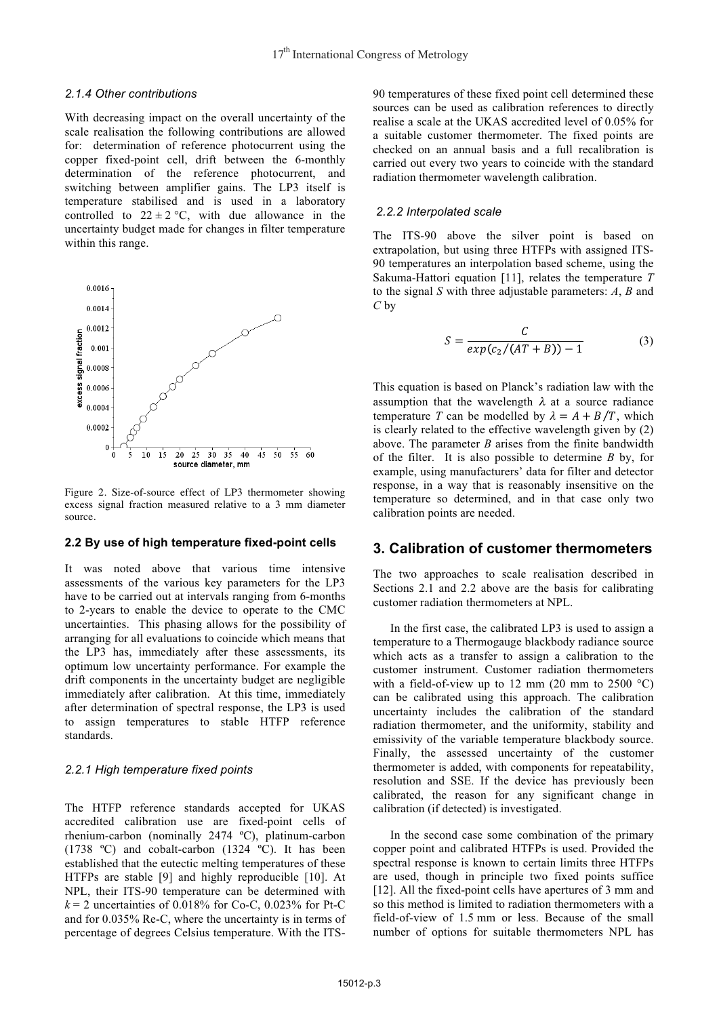### *2.1.4 Other contributions*

With decreasing impact on the overall uncertainty of the scale realisation the following contributions are allowed for: determination of reference photocurrent using the copper fixed-point cell, drift between the 6-monthly determination of the reference photocurrent, and switching between amplifier gains. The LP3 itself is temperature stabilised and is used in a laboratory controlled to  $22 \pm 2$  °C, with due allowance in the uncertainty budget made for changes in filter temperature within this range.



Figure 2. Size-of-source effect of LP3 thermometer showing excess signal fraction measured relative to a 3 mm diameter source.

#### **2.2 By use of high temperature fixed-point cells**

It was noted above that various time intensive assessments of the various key parameters for the LP3 have to be carried out at intervals ranging from 6-months to 2-years to enable the device to operate to the CMC uncertainties. This phasing allows for the possibility of arranging for all evaluations to coincide which means that the LP3 has, immediately after these assessments, its optimum low uncertainty performance. For example the drift components in the uncertainty budget are negligible immediately after calibration. At this time, immediately after determination of spectral response, the LP3 is used to assign temperatures to stable HTFP reference standards.

#### *2.2.1 High temperature fixed points*

The HTFP reference standards accepted for UKAS accredited calibration use are fixed-point cells of rhenium-carbon (nominally 2474 ºC), platinum-carbon (1738 ºC) and cobalt-carbon (1324 ºC). It has been established that the eutectic melting temperatures of these HTFPs are stable [9] and highly reproducible [10]. At NPL, their ITS-90 temperature can be determined with  $k = 2$  uncertainties of 0.018% for Co-C, 0.023% for Pt-C and for 0.035% Re-C, where the uncertainty is in terms of percentage of degrees Celsius temperature. With the ITS-

90 temperatures of these fixed point cell determined these sources can be used as calibration references to directly realise a scale at the UKAS accredited level of 0.05% for a suitable customer thermometer. The fixed points are checked on an annual basis and a full recalibration is carried out every two years to coincide with the standard radiation thermometer wavelength calibration.

### *2.2.2 Interpolated scale*

The ITS-90 above the silver point is based on extrapolation, but using three HTFPs with assigned ITS-90 temperatures an interpolation based scheme, using the Sakuma-Hattori equation [11], relates the temperature *T* to the signal *S* with three adjustable parameters: *A*, *B* and *C* by

$$
S = \frac{C}{exp(c_2/(AT+B))-1}
$$
 (3)

This equation is based on Planck's radiation law with the assumption that the wavelength  $\lambda$  at a source radiance temperature T can be modelled by  $\lambda = A + B/T$ , which is clearly related to the effective wavelength given by (2) above. The parameter *B* arises from the finite bandwidth of the filter. It is also possible to determine *B* by, for example, using manufacturers' data for filter and detector response, in a way that is reasonably insensitive on the temperature so determined, and in that case only two calibration points are needed.

# **3. Calibration of customer thermometers**

The two approaches to scale realisation described in Sections 2.1 and 2.2 above are the basis for calibrating customer radiation thermometers at NPL.

In the first case, the calibrated LP3 is used to assign a temperature to a Thermogauge blackbody radiance source which acts as a transfer to assign a calibration to the customer instrument. Customer radiation thermometers with a field-of-view up to 12 mm  $(20 \text{ mm to } 2500 \text{ °C})$ can be calibrated using this approach. The calibration uncertainty includes the calibration of the standard radiation thermometer, and the uniformity, stability and emissivity of the variable temperature blackbody source. Finally, the assessed uncertainty of the customer thermometer is added, with components for repeatability, resolution and SSE. If the device has previously been calibrated, the reason for any significant change in calibration (if detected) is investigated.

In the second case some combination of the primary copper point and calibrated HTFPs is used. Provided the spectral response is known to certain limits three HTFPs are used, though in principle two fixed points suffice [12]. All the fixed-point cells have apertures of 3 mm and so this method is limited to radiation thermometers with a field-of-view of 1.5 mm or less. Because of the small number of options for suitable thermometers NPL has